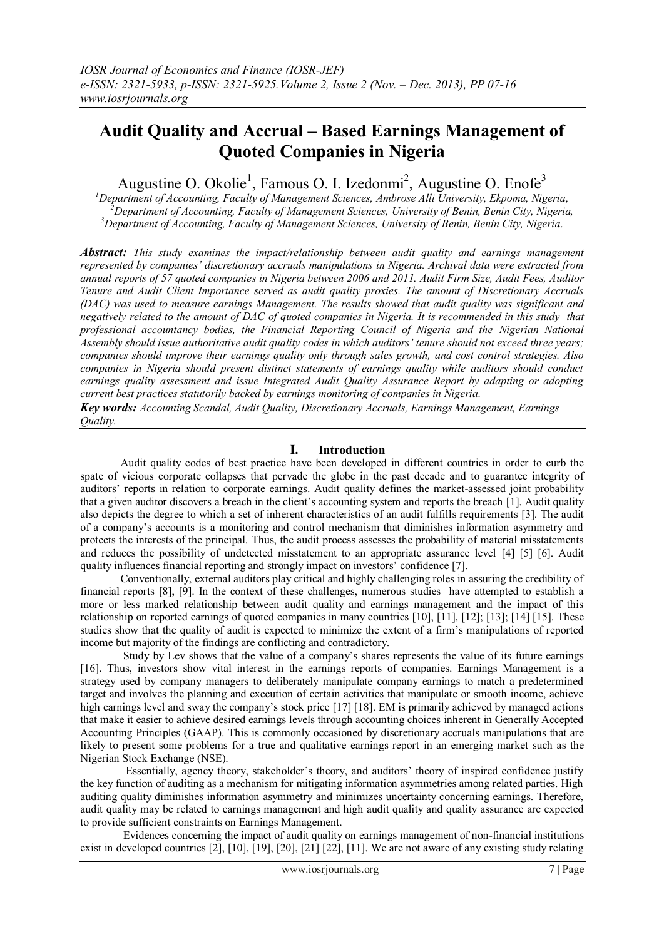# **Audit Quality and Accrual – Based Earnings Management of Quoted Companies in Nigeria**

Augustine O. Okolie<sup>1</sup>, Famous O. I. Izedonmi<sup>2</sup>, Augustine O. Enofe<sup>3</sup>

*<sup>1</sup>Department of Accounting, Faculty of Management Sciences, Ambrose Alli University, Ekpoma, Nigeria, <sup>2</sup>Department of Accounting, Faculty of Management Sciences, University of Benin, Benin City, Nigeria, <sup>3</sup>Department of Accounting, Faculty of Management Sciences, University of Benin, Benin City, Nigeria.*

*Abstract: This study examines the impact/relationship between audit quality and earnings management represented by companies' discretionary accruals manipulations in Nigeria. Archival data were extracted from annual reports of 57 quoted companies in Nigeria between 2006 and 2011. Audit Firm Size, Audit Fees, Auditor Tenure and Audit Client Importance served as audit quality proxies. The amount of Discretionary Accruals (DAC) was used to measure earnings Management. The results showed that audit quality was significant and negatively related to the amount of DAC of quoted companies in Nigeria. It is recommended in this study that professional accountancy bodies, the Financial Reporting Council of Nigeria and the Nigerian National Assembly should issue authoritative audit quality codes in which auditors' tenure should not exceed three years; companies should improve their earnings quality only through sales growth, and cost control strategies. Also companies in Nigeria should present distinct statements of earnings quality while auditors should conduct earnings quality assessment and issue Integrated Audit Quality Assurance Report by adapting or adopting current best practices statutorily backed by earnings monitoring of companies in Nigeria.* 

*Key words: Accounting Scandal, Audit Quality, Discretionary Accruals, Earnings Management, Earnings Quality.*

# **I. Introduction**

Audit quality codes of best practice have been developed in different countries in order to curb the spate of vicious corporate collapses that pervade the globe in the past decade and to guarantee integrity of auditors" reports in relation to corporate earnings. Audit quality defines the market-assessed joint probability that a given auditor discovers a breach in the client"s accounting system and reports the breach [1]. Audit quality also depicts the degree to which a set of inherent characteristics of an audit fulfills requirements [3]. The audit of a company"s accounts is a monitoring and control mechanism that diminishes information asymmetry and protects the interests of the principal. Thus, the audit process assesses the probability of material misstatements and reduces the possibility of undetected misstatement to an appropriate assurance level [4] [5] [6]. Audit quality influences financial reporting and strongly impact on investors" confidence [7].

 Conventionally, external auditors play critical and highly challenging roles in assuring the credibility of financial reports [8], [9]. In the context of these challenges, numerous studies have attempted to establish a more or less marked relationship between audit quality and earnings management and the impact of this relationship on reported earnings of quoted companies in many countries [10], [11], [12]; [13]; [14] [15]. These studies show that the quality of audit is expected to minimize the extent of a firm"s manipulations of reported income but majority of the findings are conflicting and contradictory.

 Study by Lev shows that the value of a company"s shares represents the value of its future earnings [16]. Thus, investors show vital interest in the earnings reports of companies. Earnings Management is a strategy used by company managers to deliberately manipulate company earnings to match a predetermined target and involves the planning and execution of certain activities that manipulate or smooth income, achieve high earnings level and sway the company's stock price [17] [18]. EM is primarily achieved by managed actions that make it easier to achieve desired earnings levels through accounting choices inherent in Generally Accepted Accounting Principles (GAAP). This is commonly occasioned by discretionary accruals manipulations that are likely to present some problems for a true and qualitative earnings report in an emerging market such as the Nigerian Stock Exchange (NSE).

Essentially, agency theory, stakeholder's theory, and auditors' theory of inspired confidence justify the key function of auditing as a mechanism for mitigating information asymmetries among related parties. High auditing quality diminishes information asymmetry and minimizes uncertainty concerning earnings. Therefore, audit quality may be related to earnings management and high audit quality and quality assurance are expected to provide sufficient constraints on Earnings Management.

 Evidences concerning the impact of audit quality on earnings management of non-financial institutions exist in developed countries [2], [10], [19], [20], [21] [22], [11]. We are not aware of any existing study relating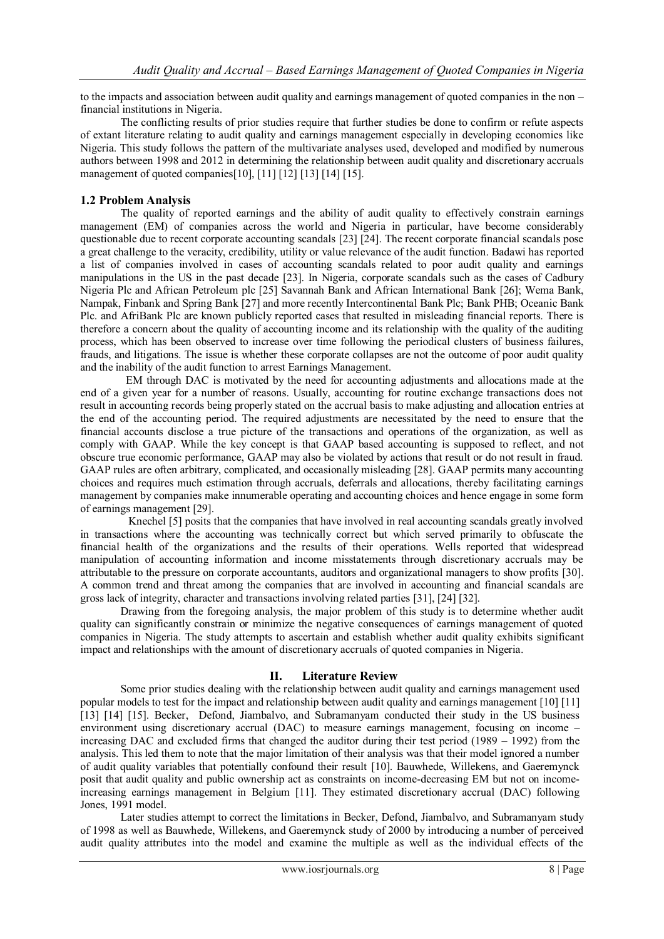to the impacts and association between audit quality and earnings management of quoted companies in the non – financial institutions in Nigeria.

 The conflicting results of prior studies require that further studies be done to confirm or refute aspects of extant literature relating to audit quality and earnings management especially in developing economies like Nigeria. This study follows the pattern of the multivariate analyses used, developed and modified by numerous authors between 1998 and 2012 in determining the relationship between audit quality and discretionary accruals management of quoted companies[10], [11] [12] [13] [14] [15].

## **1.2 Problem Analysis**

The quality of reported earnings and the ability of audit quality to effectively constrain earnings management (EM) of companies across the world and Nigeria in particular, have become considerably questionable due to recent corporate accounting scandals [23] [24]. The recent corporate financial scandals pose a great challenge to the veracity, credibility, utility or value relevance of the audit function. Badawi has reported a list of companies involved in cases of accounting scandals related to poor audit quality and earnings manipulations in the US in the past decade [23]. In Nigeria, corporate scandals such as the cases of Cadbury Nigeria Plc and African Petroleum plc [25] Savannah Bank and African International Bank [26]; Wema Bank, Nampak, Finbank and Spring Bank [27] and more recently Intercontinental Bank Plc; Bank PHB; Oceanic Bank Plc. and AfriBank Plc are known publicly reported cases that resulted in misleading financial reports. There is therefore a concern about the quality of accounting income and its relationship with the quality of the auditing process, which has been observed to increase over time following the periodical clusters of business failures, frauds, and litigations. The issue is whether these corporate collapses are not the outcome of poor audit quality and the inability of the audit function to arrest Earnings Management.

 EM through DAC is motivated by the need for accounting adjustments and allocations made at the end of a given year for a number of reasons. Usually, accounting for routine exchange transactions does not result in accounting records being properly stated on the accrual basis to make adjusting and allocation entries at the end of the accounting period. The required adjustments are necessitated by the need to ensure that the financial accounts disclose a true picture of the transactions and operations of the organization, as well as comply with GAAP. While the key concept is that GAAP based accounting is supposed to reflect, and not obscure true economic performance, GAAP may also be violated by actions that result or do not result in fraud. GAAP rules are often arbitrary, complicated, and occasionally misleading [28]. GAAP permits many accounting choices and requires much estimation through accruals, deferrals and allocations, thereby facilitating earnings management by companies make innumerable operating and accounting choices and hence engage in some form of earnings management [29].

 Knechel [5] posits that the companies that have involved in real accounting scandals greatly involved in transactions where the accounting was technically correct but which served primarily to obfuscate the financial health of the organizations and the results of their operations. Wells reported that widespread manipulation of accounting information and income misstatements through discretionary accruals may be attributable to the pressure on corporate accountants, auditors and organizational managers to show profits [30]. A common trend and threat among the companies that are involved in accounting and financial scandals are gross lack of integrity, character and transactions involving related parties [31], [24] [32].

 Drawing from the foregoing analysis, the major problem of this study is to determine whether audit quality can significantly constrain or minimize the negative consequences of earnings management of quoted companies in Nigeria. The study attempts to ascertain and establish whether audit quality exhibits significant impact and relationships with the amount of discretionary accruals of quoted companies in Nigeria.

## **II. Literature Review**

Some prior studies dealing with the relationship between audit quality and earnings management used popular models to test for the impact and relationship between audit quality and earnings management [10] [11] [13] [14] [15]. Becker, Defond, Jiambalvo, and Subramanyam conducted their study in the US business environment using discretionary accrual (DAC) to measure earnings management, focusing on income – increasing DAC and excluded firms that changed the auditor during their test period (1989 – 1992) from the analysis. This led them to note that the major limitation of their analysis was that their model ignored a number of audit quality variables that potentially confound their result [10]. Bauwhede, Willekens, and Gaeremynck posit that audit quality and public ownership act as constraints on income-decreasing EM but not on incomeincreasing earnings management in Belgium [11]. They estimated discretionary accrual (DAC) following Jones, 1991 model.

 Later studies attempt to correct the limitations in Becker, Defond, Jiambalvo, and Subramanyam study of 1998 as well as Bauwhede, Willekens, and Gaeremynck study of 2000 by introducing a number of perceived audit quality attributes into the model and examine the multiple as well as the individual effects of the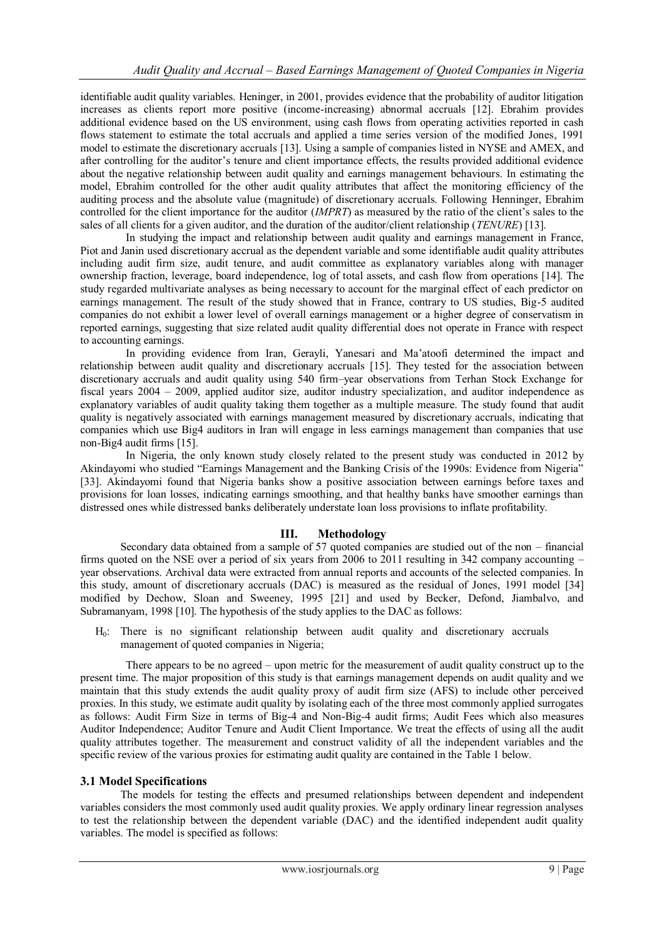identifiable audit quality variables. Heninger, in 2001, provides evidence that the probability of auditor litigation increases as clients report more positive (income-increasing) abnormal accruals [12]. Ebrahim provides additional evidence based on the US environment, using cash flows from operating activities reported in cash flows statement to estimate the total accruals and applied a time series version of the modified Jones, 1991 model to estimate the discretionary accruals [13]. Using a sample of companies listed in NYSE and AMEX, and after controlling for the auditor's tenure and client importance effects, the results provided additional evidence about the negative relationship between audit quality and earnings management behaviours. In estimating the model, Ebrahim controlled for the other audit quality attributes that affect the monitoring efficiency of the auditing process and the absolute value (magnitude) of discretionary accruals. Following Henninger, Ebrahim controlled for the client importance for the auditor (*IMPRT*) as measured by the ratio of the client's sales to the sales of all clients for a given auditor, and the duration of the auditor/client relationship (*TENURE*) [13].

 In studying the impact and relationship between audit quality and earnings management in France, Piot and Janin used discretionary accrual as the dependent variable and some identifiable audit quality attributes including audit firm size, audit tenure, and audit committee as explanatory variables along with manager ownership fraction, leverage, board independence, log of total assets, and cash flow from operations [14]. The study regarded multivariate analyses as being necessary to account for the marginal effect of each predictor on earnings management. The result of the study showed that in France, contrary to US studies, Big-5 audited companies do not exhibit a lower level of overall earnings management or a higher degree of conservatism in reported earnings, suggesting that size related audit quality differential does not operate in France with respect to accounting earnings.

 In providing evidence from Iran, Gerayli, Yanesari and Ma"atoofi determined the impact and relationship between audit quality and discretionary accruals [15]. They tested for the association between discretionary accruals and audit quality using 540 firm–year observations from Terhan Stock Exchange for fiscal years 2004 – 2009, applied auditor size, auditor industry specialization, and auditor independence as explanatory variables of audit quality taking them together as a multiple measure. The study found that audit quality is negatively associated with earnings management measured by discretionary accruals, indicating that companies which use Big4 auditors in Iran will engage in less earnings management than companies that use non-Big4 audit firms [15].

 In Nigeria, the only known study closely related to the present study was conducted in 2012 by Akindayomi who studied "Earnings Management and the Banking Crisis of the 1990s: Evidence from Nigeria" [33]. Akindayomi found that Nigeria banks show a positive association between earnings before taxes and provisions for loan losses, indicating earnings smoothing, and that healthy banks have smoother earnings than distressed ones while distressed banks deliberately understate loan loss provisions to inflate profitability.

# **III. Methodology**

 Secondary data obtained from a sample of 57 quoted companies are studied out of the non – financial firms quoted on the NSE over a period of six years from 2006 to 2011 resulting in 342 company accounting  $$ year observations. Archival data were extracted from annual reports and accounts of the selected companies. In this study, amount of discretionary accruals (DAC) is measured as the residual of Jones, 1991 model [34] modified by Dechow, Sloan and Sweeney, 1995 [21] and used by Becker, Defond, Jiambalvo, and Subramanyam, 1998 [10]. The hypothesis of the study applies to the DAC as follows:

 $H<sub>0</sub>$ : There is no significant relationship between audit quality and discretionary accruals management of quoted companies in Nigeria;

 There appears to be no agreed – upon metric for the measurement of audit quality construct up to the present time. The major proposition of this study is that earnings management depends on audit quality and we maintain that this study extends the audit quality proxy of audit firm size (AFS) to include other perceived proxies. In this study, we estimate audit quality by isolating each of the three most commonly applied surrogates as follows: Audit Firm Size in terms of Big-4 and Non-Big-4 audit firms; Audit Fees which also measures Auditor Independence; Auditor Tenure and Audit Client Importance. We treat the effects of using all the audit quality attributes together. The measurement and construct validity of all the independent variables and the specific review of the various proxies for estimating audit quality are contained in the Table 1 below.

# **3.1 Model Specifications**

The models for testing the effects and presumed relationships between dependent and independent variables considers the most commonly used audit quality proxies. We apply ordinary linear regression analyses to test the relationship between the dependent variable (DAC) and the identified independent audit quality variables. The model is specified as follows: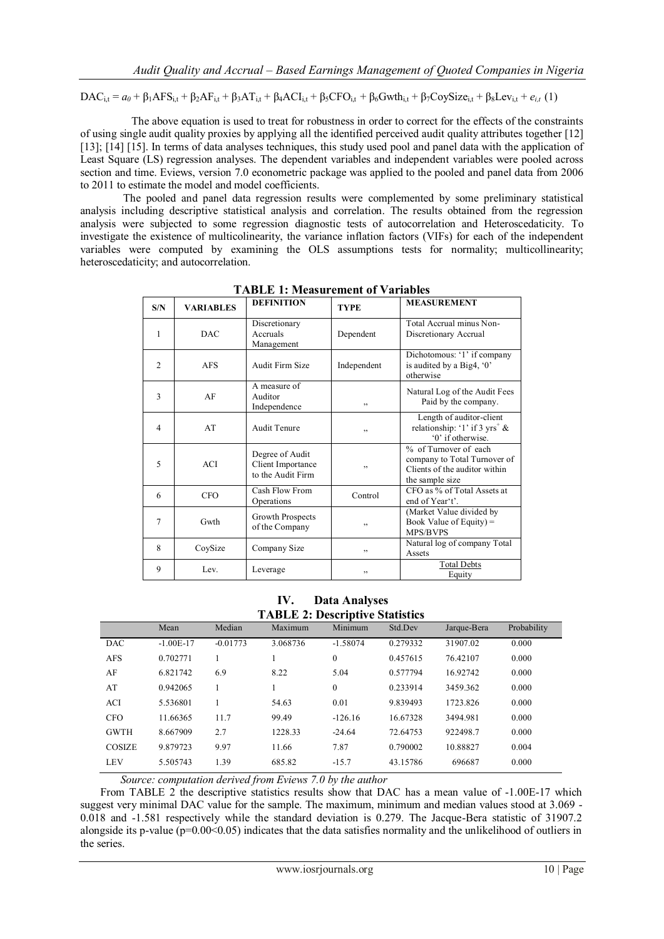$\text{DAC}_{\text{it}} = a_0 + \beta_1 \text{AFS}_{\text{it}} + \beta_2 \text{AF}_{\text{it}} + \beta_3 \text{AT}_{\text{it}} + \beta_4 \text{ACI}_{\text{it}} + \beta_5 \text{CFO}_{\text{it}} + \beta_6 \text{Gwth}_{\text{it}} + \beta_7 \text{CoySize}_{\text{it}} + \beta_8 \text{Lev}_{\text{it}} + e_{it}$  (1)

 The above equation is used to treat for robustness in order to correct for the effects of the constraints of using single audit quality proxies by applying all the identified perceived audit quality attributes together [12] [13]; [14] [15]. In terms of data analyses techniques, this study used pool and panel data with the application of Least Square (LS) regression analyses. The dependent variables and independent variables were pooled across section and time. Eviews, version 7.0 econometric package was applied to the pooled and panel data from 2006 to 2011 to estimate the model and model coefficients.

 The pooled and panel data regression results were complemented by some preliminary statistical analysis including descriptive statistical analysis and correlation. The results obtained from the regression analysis were subjected to some regression diagnostic tests of autocorrelation and Heteroscedaticity. To investigate the existence of multicolinearity, the variance inflation factors (VIFs) for each of the independent variables were computed by examining the OLS assumptions tests for normality; multicollinearity; heteroscedaticity; and autocorrelation.

| S/N            | <b>VARIABLES</b> | <b>DEFINITION</b>                                         | <b>TYPE</b> | <b>MEASUREMENT</b>                                                                                        |
|----------------|------------------|-----------------------------------------------------------|-------------|-----------------------------------------------------------------------------------------------------------|
| 1              | <b>DAC</b>       | Discretionary<br>Accruals<br>Management                   | Dependent   | Total Accrual minus Non-<br>Discretionary Accrual                                                         |
| $\overline{2}$ | <b>AFS</b>       | Audit Firm Size                                           | Independent | Dichotomous: '1' if company<br>is audited by a Big4, '0'<br>otherwise                                     |
| 3              | AF               | A measure of<br>Auditor<br>Independence                   | , ,         | Natural Log of the Audit Fees<br>Paid by the company.                                                     |
| $\overline{4}$ | AT               | <b>Audit Tenure</b>                                       | , ,         | Length of auditor-client<br>relationship: '1' if 3 $\text{yrs}^+$ &<br>'0' if otherwise.                  |
| 5              | <b>ACI</b>       | Degree of Audit<br>Client Importance<br>to the Audit Firm | , ,         | % of Turnover of each<br>company to Total Turnover of<br>Clients of the auditor within<br>the sample size |
| 6              | <b>CFO</b>       | Cash Flow From<br>Operations                              | Control     | CFO as % of Total Assets at<br>end of Year't'.                                                            |
| 7              | Gwth             | Growth Prospects<br>of the Company                        | , ,         | (Market Value divided by<br>Book Value of Equity) =<br>MPS/BVPS                                           |
| 8              | CoySize          | Company Size                                              | , ,         | Natural log of company Total<br>Assets                                                                    |
| 9              | Lev.             | Leverage                                                  | , ,         | <b>Total Debts</b><br>Equity                                                                              |

**TABLE 1: Measurement of Variables**

**IV. Data Analyses TABLE 2: Descriptive Statistics**

|               | Mean        | Median     | Maximum  | Minimum      | Std.Dev  | Jarque-Bera | Probability |
|---------------|-------------|------------|----------|--------------|----------|-------------|-------------|
| <b>DAC</b>    | $-1.00E-17$ | $-0.01773$ | 3.068736 | $-1.58074$   | 0.279332 | 31907.02    | 0.000       |
| <b>AFS</b>    | 0.702771    |            |          | $\mathbf{0}$ | 0.457615 | 76.42107    | 0.000       |
| AF            | 6.821742    | 6.9        | 8.22     | 5.04         | 0.577794 | 16.92742    | 0.000       |
| AT            | 0.942065    |            |          | $\mathbf{0}$ | 0.233914 | 3459.362    | 0.000       |
| <b>ACI</b>    | 5.536801    |            | 54.63    | 0.01         | 9.839493 | 1723.826    | 0.000       |
| <b>CFO</b>    | 11.66365    | 11.7       | 99.49    | $-126.16$    | 16.67328 | 3494.981    | 0.000       |
| <b>GWTH</b>   | 8.667909    | 2.7        | 1228.33  | $-24.64$     | 72.64753 | 922498.7    | 0.000       |
| <b>COSIZE</b> | 9.879723    | 9.97       | 11.66    | 7.87         | 0.790002 | 10.88827    | 0.004       |
| <b>LEV</b>    | 5.505743    | 1.39       | 685.82   | $-15.7$      | 43.15786 | 696687      | 0.000       |

*Source: computation derived from Eviews 7.0 by the author*

From TABLE 2 the descriptive statistics results show that DAC has a mean value of -1.00E-17 which suggest very minimal DAC value for the sample. The maximum, minimum and median values stood at 3.069 - 0.018 and -1.581 respectively while the standard deviation is 0.279. The Jacque-Bera statistic of 31907.2 alongside its p-value ( $p=0.00<0.05$ ) indicates that the data satisfies normality and the unlikelihood of outliers in the series.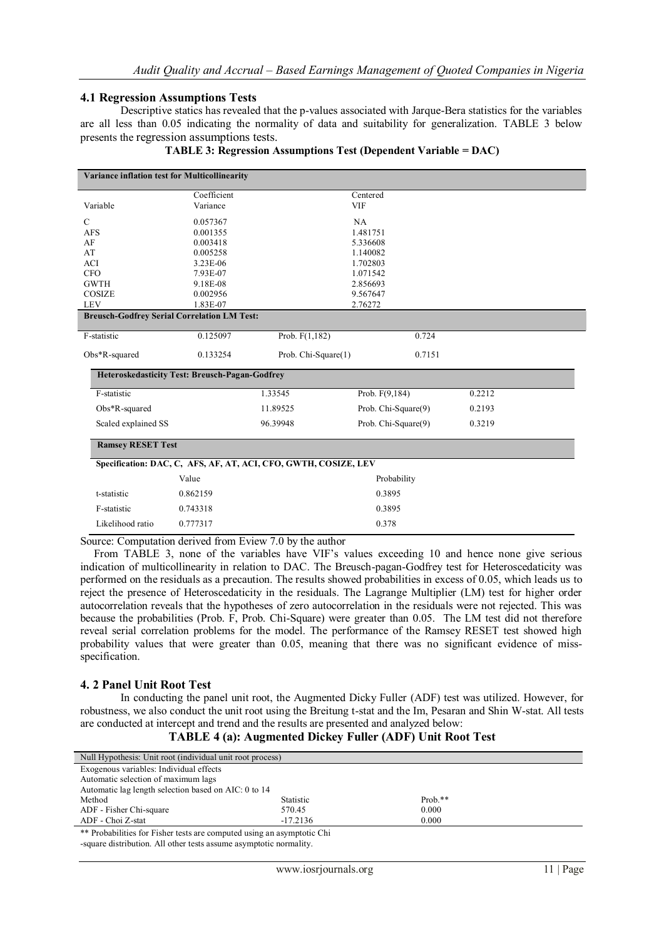## **4.1 Regression Assumptions Tests**

Descriptive statics has revealed that the p-values associated with Jarque-Bera statistics for the variables are all less than 0.05 indicating the normality of data and suitability for generalization. TABLE 3 below presents the regression assumptions tests.

| <b>Variance inflation test for Multicollinearity</b>       |                        |                                                                 |                     |        |  |  |  |
|------------------------------------------------------------|------------------------|-----------------------------------------------------------------|---------------------|--------|--|--|--|
|                                                            | Coefficient            |                                                                 | Centered            |        |  |  |  |
| Variable                                                   | Variance<br><b>VIF</b> |                                                                 |                     |        |  |  |  |
| $\mathcal{C}$                                              | 0.057367               |                                                                 | NA                  |        |  |  |  |
| <b>AFS</b>                                                 | 0.001355               |                                                                 | 1.481751            |        |  |  |  |
| AF                                                         | 0.003418               |                                                                 | 5.336608            |        |  |  |  |
| AT                                                         | 0.005258               |                                                                 | 1.140082            |        |  |  |  |
| ACI                                                        | 3.23E-06               |                                                                 | 1.702803            |        |  |  |  |
| <b>CFO</b>                                                 | 7.93E-07               |                                                                 | 1.071542            |        |  |  |  |
| <b>GWTH</b>                                                | 9.18E-08               |                                                                 | 2.856693            |        |  |  |  |
| COSIZE                                                     | 0.002956               |                                                                 | 9.567647            |        |  |  |  |
| <b>LEV</b>                                                 | 1.83E-07               |                                                                 | 2.76272             |        |  |  |  |
| <b>Breusch-Godfrey Serial Correlation LM Test:</b>         |                        |                                                                 |                     |        |  |  |  |
| F-statistic                                                | 0.125097               | Prob. $F(1,182)$                                                | 0.724               |        |  |  |  |
| Obs*R-squared<br>0.133254<br>Prob. Chi-Square(1)<br>0.7151 |                        |                                                                 |                     |        |  |  |  |
| <b>Heteroskedasticity Test: Breusch-Pagan-Godfrey</b>      |                        |                                                                 |                     |        |  |  |  |
| F-statistic                                                |                        | 1.33545                                                         | Prob. F(9,184)      | 0.2212 |  |  |  |
| Obs*R-squared                                              |                        | 11.89525                                                        | Prob. Chi-Square(9) | 0.2193 |  |  |  |
| Scaled explained SS                                        |                        | 96.39948                                                        | Prob. Chi-Square(9) | 0.3219 |  |  |  |
| <b>Ramsey RESET Test</b>                                   |                        |                                                                 |                     |        |  |  |  |
|                                                            |                        | Specification: DAC, C, AFS, AF, AT, ACI, CFO, GWTH, COSIZE, LEV |                     |        |  |  |  |
|                                                            | Value                  |                                                                 | Probability         |        |  |  |  |
| t-statistic                                                | 0.862159               |                                                                 | 0.3895              |        |  |  |  |
| F-statistic                                                | 0.3895<br>0.743318     |                                                                 |                     |        |  |  |  |
| Likelihood ratio                                           | 0.777317               |                                                                 | 0.378               |        |  |  |  |

|  | TABLE 3: Regression Assumptions Test (Dependent Variable = DAC) |  |  |
|--|-----------------------------------------------------------------|--|--|
|  |                                                                 |  |  |

Source: Computation derived from Eview 7.0 by the author

From TABLE 3, none of the variables have VIF's values exceeding 10 and hence none give serious indication of multicollinearity in relation to DAC. The Breusch-pagan-Godfrey test for Heteroscedaticity was performed on the residuals as a precaution. The results showed probabilities in excess of 0.05, which leads us to reject the presence of Heteroscedaticity in the residuals. The Lagrange Multiplier (LM) test for higher order autocorrelation reveals that the hypotheses of zero autocorrelation in the residuals were not rejected. This was because the probabilities (Prob. F, Prob. Chi-Square) were greater than 0.05. The LM test did not therefore reveal serial correlation problems for the model. The performance of the Ramsey RESET test showed high probability values that were greater than 0.05, meaning that there was no significant evidence of missspecification.

## **4. 2 Panel Unit Root Test**

In conducting the panel unit root, the Augmented Dicky Fuller (ADF) test was utilized. However, for robustness, we also conduct the unit root using the Breitung t-stat and the Im, Pesaran and Shin W-stat. All tests are conducted at intercept and trend and the results are presented and analyzed below:

## **TABLE 4 (a): Augmented Dickey Fuller (ADF) Unit Root Test**

| Null Hypothesis: Unit root (individual unit root process) |                   |            |  |  |  |  |
|-----------------------------------------------------------|-------------------|------------|--|--|--|--|
| Exogenous variables: Individual effects                   |                   |            |  |  |  |  |
| Automatic selection of maximum lags                       |                   |            |  |  |  |  |
| Automatic lag length selection based on AIC: 0 to 14      |                   |            |  |  |  |  |
| Method                                                    | Statistic         | Prob. $**$ |  |  |  |  |
| ADF - Fisher Chi-square                                   | 570.45            | 0.000      |  |  |  |  |
| ADF - Choi Z-stat                                         | $-17.2136$        | 0.000      |  |  |  |  |
| $\Delta\Delta$ in the contract of $\Delta$                | $\cdots$ $\cdots$ |            |  |  |  |  |

\*\* Probabilities for Fisher tests are computed using an asymptotic Chi -square distribution. All other tests assume asymptotic normality.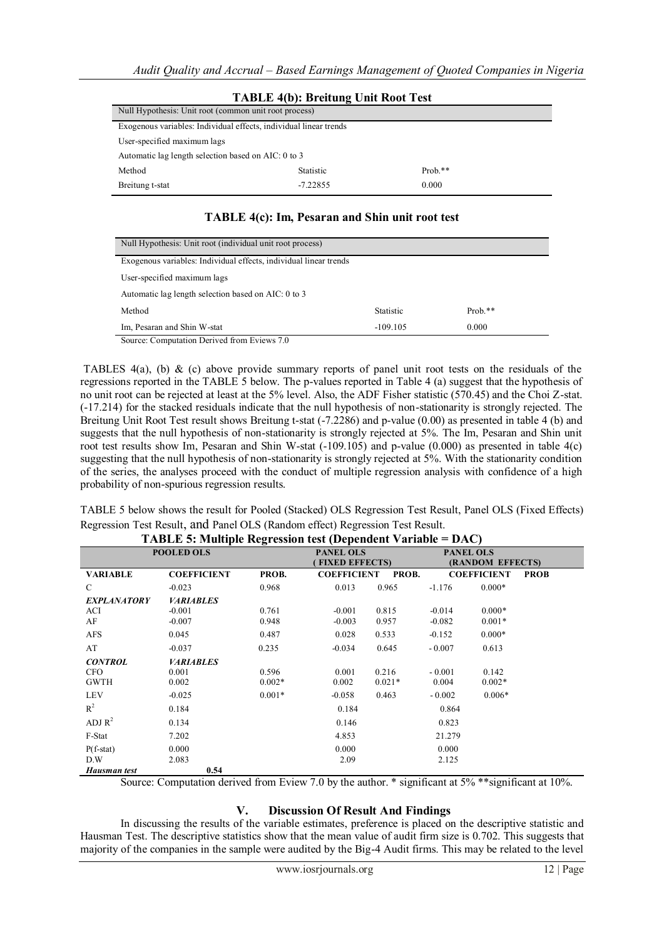| <b>TABLE 4(b): Breitung Unit Root Test</b>                        |            |  |  |  |  |  |
|-------------------------------------------------------------------|------------|--|--|--|--|--|
| Null Hypothesis: Unit root (common unit root process)             |            |  |  |  |  |  |
| Exogenous variables: Individual effects, individual linear trends |            |  |  |  |  |  |
| User-specified maximum lags                                       |            |  |  |  |  |  |
| Automatic lag length selection based on AIC: 0 to 3               |            |  |  |  |  |  |
| Statistic                                                         | Prob. $**$ |  |  |  |  |  |
| $-7.22855$<br>0.000<br>Breitung t-stat                            |            |  |  |  |  |  |
|                                                                   |            |  |  |  |  |  |

## **TABLE 4(c): Im, Pesaran and Shin unit root test**

| Null Hypothesis: Unit root (individual unit root process)         |                  |            |  |  |  |  |
|-------------------------------------------------------------------|------------------|------------|--|--|--|--|
| Exogenous variables: Individual effects, individual linear trends |                  |            |  |  |  |  |
|                                                                   |                  |            |  |  |  |  |
| User-specified maximum lags                                       |                  |            |  |  |  |  |
| Automatic lag length selection based on AIC: 0 to 3               |                  |            |  |  |  |  |
|                                                                   |                  |            |  |  |  |  |
| Method                                                            | <b>Statistic</b> | Prob. $**$ |  |  |  |  |
| 0.000<br>Im, Pesaran and Shin W-stat<br>$-109.105$                |                  |            |  |  |  |  |
| Source: Computation Derived from Eviews 7.0                       |                  |            |  |  |  |  |

TABLES 4(a), (b) & (c) above provide summary reports of panel unit root tests on the residuals of the regressions reported in the TABLE 5 below. The p-values reported in Table 4 (a) suggest that the hypothesis of no unit root can be rejected at least at the 5% level. Also, the ADF Fisher statistic (570.45) and the Choi Z-stat. (-17.214) for the stacked residuals indicate that the null hypothesis of non-stationarity is strongly rejected. The Breitung Unit Root Test result shows Breitung t-stat (-7.2286) and p-value (0.00) as presented in table 4 (b) and suggests that the null hypothesis of non-stationarity is strongly rejected at 5%. The Im, Pesaran and Shin unit root test results show Im, Pesaran and Shin W-stat (-109.105) and p-value (0.000) as presented in table 4(c) suggesting that the null hypothesis of non-stationarity is strongly rejected at 5%. With the stationarity condition of the series, the analyses proceed with the conduct of multiple regression analysis with confidence of a high probability of non-spurious regression results.

TABLE 5 below shows the result for Pooled (Stacked) OLS Regression Test Result, Panel OLS (Fixed Effects) Regression Test Result, and Panel OLS (Random effect) Regression Test Result.

| ттиры э. манре кетездин состронает татарге<br><i><u>vis</u></i> |                    |          |                       |          |                  |                    |             |  |
|-----------------------------------------------------------------|--------------------|----------|-----------------------|----------|------------------|--------------------|-------------|--|
| <b>POOLED OLS</b>                                               |                    |          | <b>PANEL OLS</b>      |          | <b>PANEL OLS</b> |                    |             |  |
|                                                                 |                    |          | <b>FIXED EFFECTS)</b> |          | (RANDOM EFFECTS) |                    |             |  |
| <b>VARIABLE</b>                                                 | <b>COEFFICIENT</b> | PROB.    | <b>COEFFICIENT</b>    | PROB.    |                  | <b>COEFFICIENT</b> | <b>PROB</b> |  |
| $\mathcal{C}$                                                   | $-0.023$           | 0.968    | 0.013                 | 0.965    | $-1.176$         | $0.000*$           |             |  |
| <b>EXPLANATORY</b>                                              | <b>VARIABLES</b>   |          |                       |          |                  |                    |             |  |
| ACI                                                             | $-0.001$           | 0.761    | $-0.001$              | 0.815    | $-0.014$         | $0.000*$           |             |  |
| AF                                                              | $-0.007$           | 0.948    | $-0.003$              | 0.957    | $-0.082$         | $0.001*$           |             |  |
| <b>AFS</b>                                                      | 0.045              | 0.487    | 0.028                 | 0.533    | $-0.152$         | $0.000*$           |             |  |
| AT                                                              | $-0.037$           | 0.235    | $-0.034$              | 0.645    | $-0.007$         | 0.613              |             |  |
| <b>CONTROL</b>                                                  | <b>VARIABLES</b>   |          |                       |          |                  |                    |             |  |
| CFO                                                             | 0.001              | 0.596    | 0.001                 | 0.216    | $-0.001$         | 0.142              |             |  |
| <b>GWTH</b>                                                     | 0.002              | $0.002*$ | 0.002                 | $0.021*$ | 0.004            | $0.002*$           |             |  |
| <b>LEV</b>                                                      | $-0.025$           | $0.001*$ | $-0.058$              | 0.463    | $-0.002$         | $0.006*$           |             |  |
| $R^2$                                                           | 0.184              |          | 0.184                 |          | 0.864            |                    |             |  |
| ADJ $R^2$                                                       | 0.134              |          | 0.146                 |          | 0.823            |                    |             |  |
| F-Stat                                                          | 7.202              |          | 4.853                 |          | 21.279           |                    |             |  |
| $P(f-stat)$                                                     | 0.000              |          | 0.000                 |          | 0.000            |                    |             |  |
| D.W                                                             | 2.083              |          | 2.09                  |          | 2.125            |                    |             |  |
| Hausman test                                                    | 0.54               |          |                       |          |                  |                    |             |  |

**TABLE 5: Multiple Regression test (Dependent Variable = DAC)**

Source: Computation derived from Eview 7.0 by the author. \* significant at 5% \*\* significant at 10%.

# **V. Discussion Of Result And Findings**

In discussing the results of the variable estimates, preference is placed on the descriptive statistic and Hausman Test. The descriptive statistics show that the mean value of audit firm size is 0.702. This suggests that majority of the companies in the sample were audited by the Big-4 Audit firms. This may be related to the level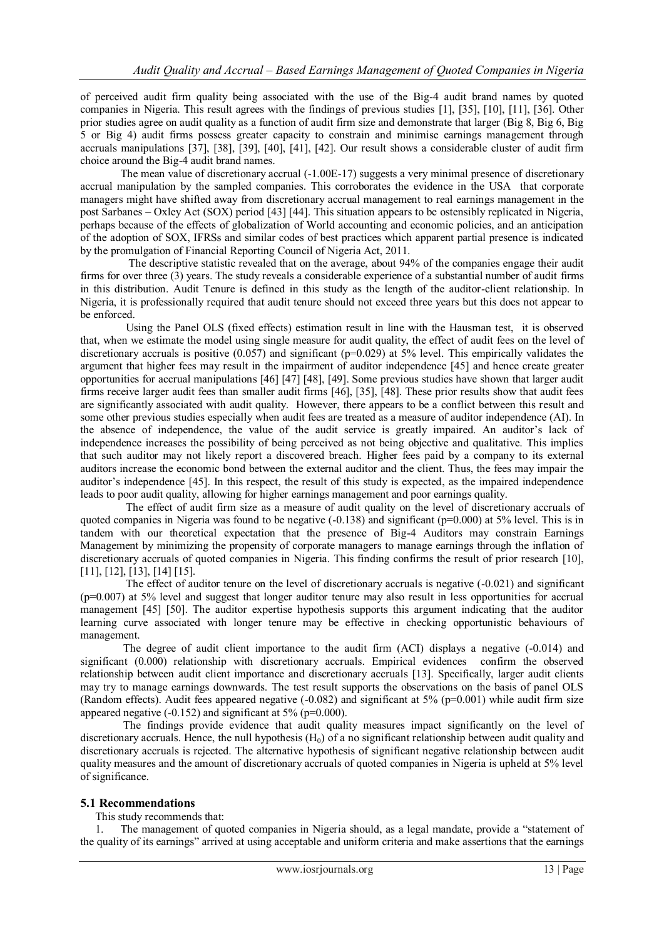of perceived audit firm quality being associated with the use of the Big-4 audit brand names by quoted companies in Nigeria. This result agrees with the findings of previous studies [1], [35], [10], [11], [36]. Other prior studies agree on audit quality as a function of audit firm size and demonstrate that larger (Big 8, Big 6, Big 5 or Big 4) audit firms possess greater capacity to constrain and minimise earnings management through accruals manipulations [37], [38], [39], [40], [41], [42]. Our result shows a considerable cluster of audit firm choice around the Big-4 audit brand names.

 The mean value of discretionary accrual (-1.00E-17) suggests a very minimal presence of discretionary accrual manipulation by the sampled companies. This corroborates the evidence in the USA that corporate managers might have shifted away from discretionary accrual management to real earnings management in the post Sarbanes – Oxley Act (SOX) period [43] [44]. This situation appears to be ostensibly replicated in Nigeria, perhaps because of the effects of globalization of World accounting and economic policies, and an anticipation of the adoption of SOX, IFRSs and similar codes of best practices which apparent partial presence is indicated by the promulgation of Financial Reporting Council of Nigeria Act, 2011.

 The descriptive statistic revealed that on the average, about 94% of the companies engage their audit firms for over three  $(3)$  years. The study reveals a considerable experience of a substantial number of audit firms in this distribution. Audit Tenure is defined in this study as the length of the auditor-client relationship. In Nigeria, it is professionally required that audit tenure should not exceed three years but this does not appear to be enforced.

 Using the Panel OLS (fixed effects) estimation result in line with the Hausman test, it is observed that, when we estimate the model using single measure for audit quality, the effect of audit fees on the level of discretionary accruals is positive (0.057) and significant ( $p=0.029$ ) at 5% level. This empirically validates the argument that higher fees may result in the impairment of auditor independence [45] and hence create greater opportunities for accrual manipulations [46] [47] [48], [49]. Some previous studies have shown that larger audit firms receive larger audit fees than smaller audit firms [46], [35], [48]. These prior results show that audit fees are significantly associated with audit quality. However, there appears to be a conflict between this result and some other previous studies especially when audit fees are treated as a measure of auditor independence (AI). In the absence of independence, the value of the audit service is greatly impaired. An auditor's lack of independence increases the possibility of being perceived as not being objective and qualitative. This implies that such auditor may not likely report a discovered breach. Higher fees paid by a company to its external auditors increase the economic bond between the external auditor and the client. Thus, the fees may impair the auditor"s independence [45]. In this respect, the result of this study is expected, as the impaired independence leads to poor audit quality, allowing for higher earnings management and poor earnings quality.

 The effect of audit firm size as a measure of audit quality on the level of discretionary accruals of quoted companies in Nigeria was found to be negative  $(-0.138)$  and significant ( $p=0.000$ ) at 5% level. This is in tandem with our theoretical expectation that the presence of Big-4 Auditors may constrain Earnings Management by minimizing the propensity of corporate managers to manage earnings through the inflation of discretionary accruals of quoted companies in Nigeria. This finding confirms the result of prior research [10], [11], [12], [13], [14] [15].

 The effect of auditor tenure on the level of discretionary accruals is negative (-0.021) and significant (p=0.007) at 5% level and suggest that longer auditor tenure may also result in less opportunities for accrual management [45] [50]. The auditor expertise hypothesis supports this argument indicating that the auditor learning curve associated with longer tenure may be effective in checking opportunistic behaviours of management.

 The degree of audit client importance to the audit firm (ACI) displays a negative (-0.014) and significant (0.000) relationship with discretionary accruals. Empirical evidences confirm the observed relationship between audit client importance and discretionary accruals [13]. Specifically, larger audit clients may try to manage earnings downwards. The test result supports the observations on the basis of panel OLS (Random effects). Audit fees appeared negative  $(-0.082)$  and significant at 5% (p=0.001) while audit firm size appeared negative (-0.152) and significant at 5% (p=0.000).

 The findings provide evidence that audit quality measures impact significantly on the level of discretionary accruals. Hence, the null hypothesis  $(H_0)$  of a no significant relationship between audit quality and discretionary accruals is rejected. The alternative hypothesis of significant negative relationship between audit quality measures and the amount of discretionary accruals of quoted companies in Nigeria is upheld at 5% level of significance.

## **5.1 Recommendations**

This study recommends that:

1. The management of quoted companies in Nigeria should, as a legal mandate, provide a "statement of the quality of its earnings" arrived at using acceptable and uniform criteria and make assertions that the earnings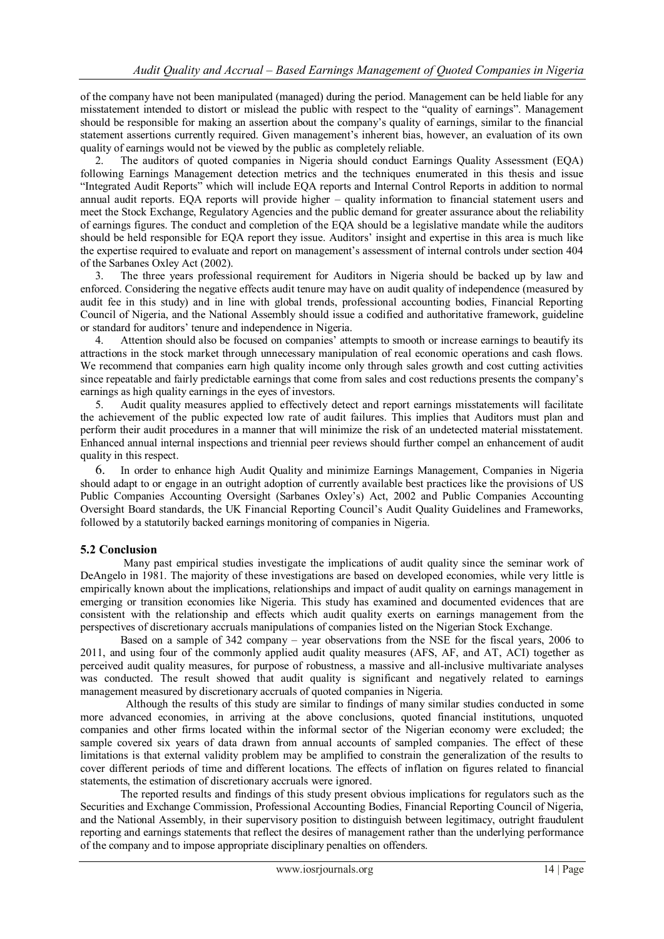of the company have not been manipulated (managed) during the period. Management can be held liable for any misstatement intended to distort or mislead the public with respect to the "quality of earnings". Management should be responsible for making an assertion about the company"s quality of earnings, similar to the financial statement assertions currently required. Given management's inherent bias, however, an evaluation of its own quality of earnings would not be viewed by the public as completely reliable.

2. The auditors of quoted companies in Nigeria should conduct Earnings Quality Assessment (EQA) following Earnings Management detection metrics and the techniques enumerated in this thesis and issue "Integrated Audit Reports" which will include EQA reports and Internal Control Reports in addition to normal annual audit reports. EQA reports will provide higher – quality information to financial statement users and meet the Stock Exchange, Regulatory Agencies and the public demand for greater assurance about the reliability of earnings figures. The conduct and completion of the EQA should be a legislative mandate while the auditors should be held responsible for EQA report they issue. Auditors' insight and expertise in this area is much like the expertise required to evaluate and report on management's assessment of internal controls under section 404 of the Sarbanes Oxley Act (2002).

3. The three years professional requirement for Auditors in Nigeria should be backed up by law and enforced. Considering the negative effects audit tenure may have on audit quality of independence (measured by audit fee in this study) and in line with global trends, professional accounting bodies, Financial Reporting Council of Nigeria, and the National Assembly should issue a codified and authoritative framework, guideline or standard for auditors" tenure and independence in Nigeria.

4. Attention should also be focused on companies" attempts to smooth or increase earnings to beautify its attractions in the stock market through unnecessary manipulation of real economic operations and cash flows. We recommend that companies earn high quality income only through sales growth and cost cutting activities since repeatable and fairly predictable earnings that come from sales and cost reductions presents the company"s earnings as high quality earnings in the eyes of investors.

5. Audit quality measures applied to effectively detect and report earnings misstatements will facilitate the achievement of the public expected low rate of audit failures. This implies that Auditors must plan and perform their audit procedures in a manner that will minimize the risk of an undetected material misstatement. Enhanced annual internal inspections and triennial peer reviews should further compel an enhancement of audit quality in this respect.

6. In order to enhance high Audit Quality and minimize Earnings Management, Companies in Nigeria should adapt to or engage in an outright adoption of currently available best practices like the provisions of US Public Companies Accounting Oversight (Sarbanes Oxley"s) Act, 2002 and Public Companies Accounting Oversight Board standards, the UK Financial Reporting Council"s Audit Quality Guidelines and Frameworks, followed by a statutorily backed earnings monitoring of companies in Nigeria.

## **5.2 Conclusion**

 Many past empirical studies investigate the implications of audit quality since the seminar work of DeAngelo in 1981. The majority of these investigations are based on developed economies, while very little is empirically known about the implications, relationships and impact of audit quality on earnings management in emerging or transition economies like Nigeria. This study has examined and documented evidences that are consistent with the relationship and effects which audit quality exerts on earnings management from the perspectives of discretionary accruals manipulations of companies listed on the Nigerian Stock Exchange.

 Based on a sample of 342 company – year observations from the NSE for the fiscal years, 2006 to 2011, and using four of the commonly applied audit quality measures (AFS, AF, and AT, ACI) together as perceived audit quality measures, for purpose of robustness, a massive and all-inclusive multivariate analyses was conducted. The result showed that audit quality is significant and negatively related to earnings management measured by discretionary accruals of quoted companies in Nigeria.

 Although the results of this study are similar to findings of many similar studies conducted in some more advanced economies, in arriving at the above conclusions, quoted financial institutions, unquoted companies and other firms located within the informal sector of the Nigerian economy were excluded; the sample covered six years of data drawn from annual accounts of sampled companies. The effect of these limitations is that external validity problem may be amplified to constrain the generalization of the results to cover different periods of time and different locations. The effects of inflation on figures related to financial statements, the estimation of discretionary accruals were ignored.

 The reported results and findings of this study present obvious implications for regulators such as the Securities and Exchange Commission, Professional Accounting Bodies, Financial Reporting Council of Nigeria, and the National Assembly, in their supervisory position to distinguish between legitimacy, outright fraudulent reporting and earnings statements that reflect the desires of management rather than the underlying performance of the company and to impose appropriate disciplinary penalties on offenders.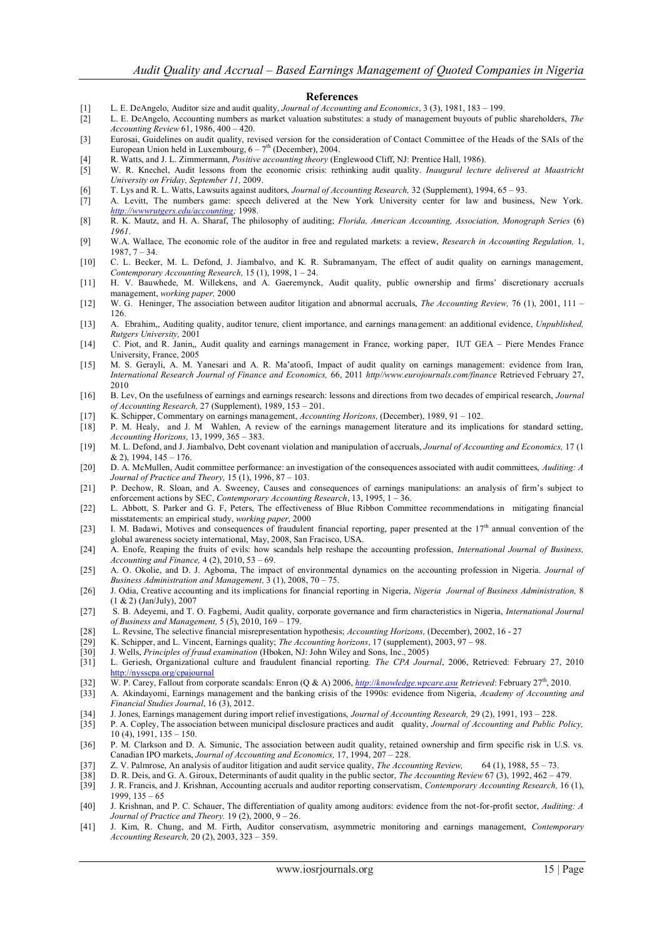#### **References**

- [1] L. E. DeAngelo, Auditor size and audit quality, *Journal of Accounting and Economics*, 3 (3), 1981, 183 199.
- [2] L. E. DeAngelo, Accounting numbers as market valuation substitutes: a study of management buyouts of public shareholders, *The Accounting Review* 61, 1986, 400 – 420.
- [3] Eurosai, Guidelines on audit quality, revised version for the consideration of Contact Committee of the Heads of the SAIs of the European Union held in Luxembourg,  $6 - 7<sup>th</sup>$  (December), 2004.
- [4] R. Watts, and J. L. Zimmermann, *Positive accounting theory* (Englewood Cliff, NJ: Prentice Hall, 1986).
- [5] W. R. Knechel, Audit lessons from the economic crisis: rethinking audit quality. *Inaugural lecture delivered at Maastricht University on Friday, September 11,* 2009.
- [6] T. Lys and R. L. Watts, Lawsuits against auditors, *Journal of Accounting Research,* 32 (Supplement), 1994, 65 93.
- [7] A. Levitt, The numbers game: speech delivered at the New York University center for law and business, New York. *[http://wwwrutgers.edu/accounting;](http://wwwrutgers.edu/accounting)* 1998.
- [8] R. K. Mautz, and H. A. Sharaf, The philosophy of auditing; *Florida, American Accounting, Association, Monograph Series* (6) *1961*.
- [9] W.A. Wallace, The economic role of the auditor in free and regulated markets: a review, *Research in Accounting Regulation,* 1, 1987, 7 – 34.
- [10] C. L. Becker, M. L. Defond, J. Jiambalvo, and K. R. Subramanyam, The effect of audit quality on earnings management, *Contemporary Accounting Research,* 15 (1), 1998, 1 – 24.
- [11] H. V. Bauwhede, M. Willekens, and A. Gaeremynck, Audit quality, public ownership and firms" discretionary accruals management, *working paper,* 2000
- [12] W. G. Heninger, The association between auditor litigation and abnormal accruals, *The Accounting Review,* 76 (1), 2001, 111 126.
- [13] A. Ebrahim,, Auditing quality, auditor tenure, client importance, and earnings management: an additional evidence, *Unpublished, Rutgers University,* 2001
- [14] C. Piot, and R. Janin,, Audit quality and earnings management in France, working paper, IUT GEA Piere Mendes France University, France, 2005
- [15] M. S. Gerayli, A. M. Yanesari and A. R. Ma"atoofi, Impact of audit quality on earnings management: evidence from Iran, *International Research Journal of Finance and Economics,* 66, 2011 *http//www.eurojournals.com/finance* Retrieved February 27, 2010
- [16] B. Lev, On the usefulness of earnings and earnings research: lessons and directions from two decades of empirical research, *Journal of Accounting Research,* 27 (Supplement), 1989, 153 – 201.
- [17] K. Schipper, Commentary on earnings management, *Accounting Horizons,* (December), 1989, 91 102.
- [18] P. M. Healy, and J. M Wahlen, A review of the earnings management literature and its implications for standard setting, *Accounting Horizons,* 13, 1999, 365 – 383.
- [19] M. L. Defond, and J. Jiambalvo, Debt covenant violation and manipulation of accruals, *Journal of Accounting and Economics,* 17 (1  $& 2)$ , 1994, 145 – 176.
- [20] D. A. McMullen, Audit committee performance: an investigation of the consequences associated with audit committees, *Auditing: A Journal of Practice and Theory,* 15 (1), 1996, 87 – 103.
- [21] P. Dechow, R. Sloan, and A. Sweeney, Causes and consequences of earnings manipulations: an analysis of firm"s subject to enforcement actions by SEC, *Contemporary Accounting Research*, 13, 1995, 1 – 36.
- [22] L. Abbott, S. Parker and G. F, Peters, The effectiveness of Blue Ribbon Committee recommendations in mitigating financial misstatements: an empirical study, *working paper,* 2000
- [23] I. M. Badawi, Motives and consequences of fraudulent financial reporting, paper presented at the  $17<sup>th</sup>$  annual convention of the global awareness society international, May, 2008, San Fracisco, USA.
- [24] A. Enofe, Reaping the fruits of evils: how scandals help reshape the accounting profession, *International Journal of Business, Accounting and Finance,* 4 (2), 2010, 53 – 69.
- [25] A. O. Okolie, and D. J. Agboma, The impact of environmental dynamics on the accounting profession in Nigeria. *Journal of Business Administration and Management,* 3 (1), 2008, 70 – 75.
- [26] J. Odia, Creative accounting and its implications for financial reporting in Nigeria, *Nigeria Journal of Business Administration,* 8 (1 & 2) (Jan/July), 2007
- [27] S. B. Adeyemi, and T. O. Fagbemi, Audit quality, corporate governance and firm characteristics in Nigeria, *International Journal of Business and Management,* 5 (5), 2010, 169 – 179.
- [28] L. Revsine, The selective financial misrepresentation hypothesis; *Accounting Horizons,* (December), 2002, 16 27
- [29] K. Schipper, and L. Vincent, Earnings quality; *The Accounting horizons*, 17 (supplement), 2003, 97 98.
- [30] J. Wells, *Principles of fraud examination* (Hboken, NJ: John Wiley and Sons, Inc., 2005)
- [31] L. Geriesh, Organizational culture and fraudulent financial reporting. *The CPA Journal*, 2006, Retrieved: February 27, 2010 <http://nysscpa.org/cpajournal>
- [32] W. P. Carey, Fallout from corporate scandals: Enron (Q & A) 2006, *http*://*[knowledge.wpcare.asu](http://knowledge.wpcare.asu/) Retrieved*: February 27th, 2010.
- [33] A. Akindayomi, Earnings management and the banking crisis of the 1990s: evidence from Nigeria, *Academy of Accounting and Financial Studies Journal*, 16 (3), 2012.
- [34] J. Jones, Earnings management during import relief investigations, *Journal of Accounting Research,* 29 (2), 1991, 193 228.
- [35] P. A. Copley, The association between municipal disclosure practices and audit quality, *Journal of Accounting and Public Policy,*  10 (4), 1991, 135 – 150.
- [36] P. M. Clarkson and D. A. Simunic, The association between audit quality, retained ownership and firm specific risk in U.S. vs. Canadian IPO markets, *Journal of Accounting and Economics,* 17, 1994, 207 – 228.
- [37] Z. V. Palmrose, An analysis of auditor litigation and audit service quality, *The Accounting Review,* 64 (1), 1988, 55 73.
- [38] D. R. Deis, and G. A. Giroux, Determinants of audit quality in the public sector, *The Accounting Review* 67 (3), 1992, 462 479.
- [39] J. R. Francis, and J. Krishnan, Accounting accruals and auditor reporting conservatism, *Contemporary Accounting Research,* 16 (1), 1999, 135 – 65
- [40] J. Krishnan, and P. C. Schauer, The differentiation of quality among auditors: evidence from the not-for-profit sector, *Auditing: A Journal of Practice and Theory.* 19 (2), 2000, 9 – 26.
- [41] J. Kim, R. Chung, and M. Firth, Auditor conservatism, asymmetric monitoring and earnings management, *Contemporary Accounting Research,* 20 (2), 2003, 323 – 359.